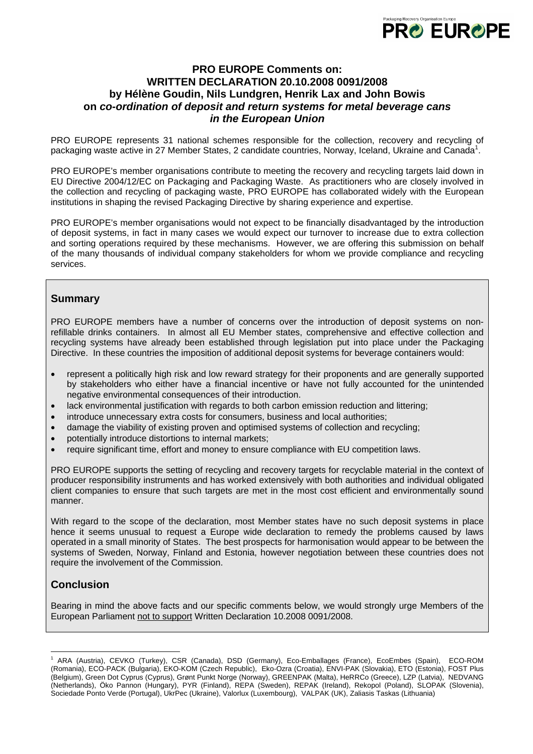

## **PRO EUROPE Comments on: WRITTEN DECLARATION 20.10.2008 0091/2008 by Hélène Goudin, Nils Lundgren, Henrik Lax and John Bowis on** *co-ordination of deposit and return systems for metal beverage cans in the European Union*

PRO EUROPE represents 31 national schemes responsible for the collection, recovery and recycling of packaging waste active in 27 Member States, 2 candidate countries, Norway, Iceland, Ukraine and Canada<sup>[1](#page-0-0)</sup>.

PRO EUROPE's member organisations contribute to meeting the recovery and recycling targets laid down in EU Directive 2004/12/EC on Packaging and Packaging Waste. As practitioners who are closely involved in the collection and recycling of packaging waste, PRO EUROPE has collaborated widely with the European institutions in shaping the revised Packaging Directive by sharing experience and expertise.

PRO EUROPE's member organisations would not expect to be financially disadvantaged by the introduction of deposit systems, in fact in many cases we would expect our turnover to increase due to extra collection and sorting operations required by these mechanisms. However, we are offering this submission on behalf of the many thousands of individual company stakeholders for whom we provide compliance and recycling services.

## **Summary**

PRO EUROPE members have a number of concerns over the introduction of deposit systems on nonrefillable drinks containers. In almost all EU Member states, comprehensive and effective collection and recycling systems have already been established through legislation put into place under the Packaging Directive. In these countries the imposition of additional deposit systems for beverage containers would:

- represent a politically high risk and low reward strategy for their proponents and are generally supported by stakeholders who either have a financial incentive or have not fully accounted for the unintended negative environmental consequences of their introduction.
- lack environmental justification with regards to both carbon emission reduction and littering;
- introduce unnecessary extra costs for consumers, business and local authorities;
- damage the viability of existing proven and optimised systems of collection and recycling;
- potentially introduce distortions to internal markets;
- require significant time, effort and money to ensure compliance with EU competition laws.

PRO EUROPE supports the setting of recycling and recovery targets for recyclable material in the context of producer responsibility instruments and has worked extensively with both authorities and individual obligated client companies to ensure that such targets are met in the most cost efficient and environmentally sound manner.

With regard to the scope of the declaration, most Member states have no such deposit systems in place hence it seems unusual to request a Europe wide declaration to remedy the problems caused by laws operated in a small minority of States. The best prospects for harmonisation would appear to be between the systems of Sweden, Norway, Finland and Estonia, however negotiation between these countries does not require the involvement of the Commission.

## **Conclusion**

 $\overline{a}$ 

Bearing in mind the above facts and our specific comments below, we would strongly urge Members of the European Parliament not to support Written Declaration 10.2008 0091/2008.

<span id="page-0-0"></span><sup>1</sup> ARA (Austria), CEVKO (Turkey), CSR (Canada), DSD (Germany), Eco-Emballages (France), EcoEmbes (Spain), ECO-ROM (Romania), ECO-PACK (Bulgaria), EKO-KOM (Czech Republic), Eko-Ozra (Croatia), ENVI-PAK (Slovakia), ETO (Estonia), FOST Plus (Belgium), Green Dot Cyprus (Cyprus), Grønt Punkt Norge (Norway), GREENPAK (Malta), HeRRCo (Greece), LZP (Latvia), NEDVANG (Netherlands), Öko Pannon (Hungary), PYR (Finland), REPA (Sweden), REPAK (Ireland), Rekopol (Poland), SLOPAK (Slovenia), Sociedade Ponto Verde (Portugal), UkrPec (Ukraine), Valorlux (Luxembourg), VALPAK (UK), Zaliasis Taskas (Lithuania)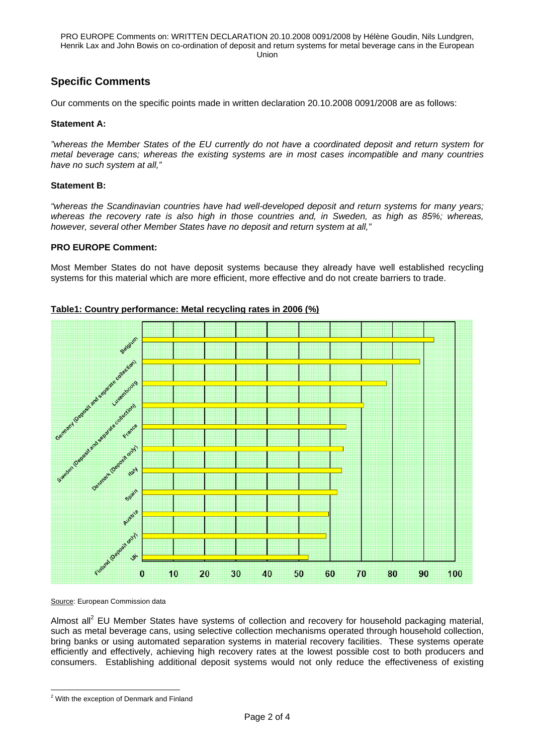PRO EUROPE Comments on: WRITTEN DECLARATION 20.10.2008 0091/2008 by Hélène Goudin, Nils Lundgren, Henrik Lax and John Bowis on co-ordination of deposit and return systems for metal beverage cans in the European Union

# **Specific Comments**

Our comments on the specific points made in written declaration 20.10.2008 0091/2008 are as follows:

### **Statement A:**

*"whereas the Member States of the EU currently do not have a coordinated deposit and return system for metal beverage cans; whereas the existing systems are in most cases incompatible and many countries have no such system at all,"*

### **Statement B:**

*"whereas the Scandinavian countries have had well-developed deposit and return systems for many years;*  whereas the recovery rate is also high in those countries and, in Sweden, as high as 85%; whereas, *however, several other Member States have no deposit and return system at all,"*

### **PRO EUROPE Comment:**

Most Member States do not have deposit systems because they already have well established recycling systems for this material which are more efficient, more effective and do not create barriers to trade.

## arate collection Luxemboy La Sede Sonda e Curador France osit only LOep 124 Spain Austria  $\star$  $\bf{0}$  $10$  $20$ 30 40 50 60 70 80 90 100

### **Table1: Country performance: Metal recycling rates in 2006 (%)**

Source: European Commission data

Almost all<sup>2</sup> EU Member States have systems of collection and recovery for household packaging material, such as metal beverage cans, using selective collection mechanisms operated through household collection, bring banks or using automated separation systems in material recovery facilities. These systems operate efficiently and effectively, achieving high recovery rates at the lowest possible cost to both producers and consumers. Establishing additional deposit systems would not only reduce the effectiveness of existing

<span id="page-1-0"></span> 2 With the exception of Denmark and Finland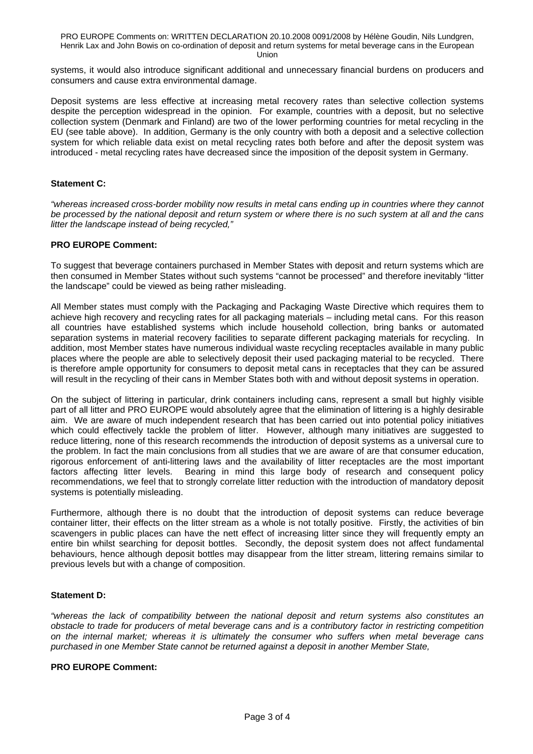PRO EUROPE Comments on: WRITTEN DECLARATION 20.10.2008 0091/2008 by Hélène Goudin, Nils Lundgren, Henrik Lax and John Bowis on co-ordination of deposit and return systems for metal beverage cans in the European

Union

systems, it would also introduce significant additional and unnecessary financial burdens on producers and consumers and cause extra environmental damage.

Deposit systems are less effective at increasing metal recovery rates than selective collection systems despite the perception widespread in the opinion. For example, countries with a deposit, but no selective collection system (Denmark and Finland) are two of the lower performing countries for metal recycling in the EU (see table above). In addition, Germany is the only country with both a deposit and a selective collection system for which reliable data exist on metal recycling rates both before and after the deposit system was introduced - metal recycling rates have decreased since the imposition of the deposit system in Germany.

### **Statement C:**

*"whereas increased cross-border mobility now results in metal cans ending up in countries where they cannot be processed by the national deposit and return system or where there is no such system at all and the cans litter the landscape instead of being recycled,"*

### **PRO EUROPE Comment:**

To suggest that beverage containers purchased in Member States with deposit and return systems which are then consumed in Member States without such systems "cannot be processed" and therefore inevitably "litter the landscape" could be viewed as being rather misleading.

All Member states must comply with the Packaging and Packaging Waste Directive which requires them to achieve high recovery and recycling rates for all packaging materials – including metal cans. For this reason all countries have established systems which include household collection, bring banks or automated separation systems in material recovery facilities to separate different packaging materials for recycling. In addition, most Member states have numerous individual waste recycling receptacles available in many public places where the people are able to selectively deposit their used packaging material to be recycled. There is therefore ample opportunity for consumers to deposit metal cans in receptacles that they can be assured will result in the recycling of their cans in Member States both with and without deposit systems in operation.

On the subject of littering in particular, drink containers including cans, represent a small but highly visible part of all litter and PRO EUROPE would absolutely agree that the elimination of littering is a highly desirable aim. We are aware of much independent research that has been carried out into potential policy initiatives which could effectively tackle the problem of litter. However, although many initiatives are suggested to reduce littering, none of this research recommends the introduction of deposit systems as a universal cure to the problem. In fact the main conclusions from all studies that we are aware of are that consumer education, rigorous enforcement of anti-littering laws and the availability of litter receptacles are the most important factors affecting litter levels. Bearing in mind this large body of research and consequent policy recommendations, we feel that to strongly correlate litter reduction with the introduction of mandatory deposit systems is potentially misleading.

Furthermore, although there is no doubt that the introduction of deposit systems can reduce beverage container litter, their effects on the litter stream as a whole is not totally positive. Firstly, the activities of bin scavengers in public places can have the nett effect of increasing litter since they will frequently empty an entire bin whilst searching for deposit bottles. Secondly, the deposit system does not affect fundamental behaviours, hence although deposit bottles may disappear from the litter stream, littering remains similar to previous levels but with a change of composition.

### **Statement D:**

*"whereas the lack of compatibility between the national deposit and return systems also constitutes an obstacle to trade for producers of metal beverage cans and is a contributory factor in restricting competition on the internal market; whereas it is ultimately the consumer who suffers when metal beverage cans purchased in one Member State cannot be returned against a deposit in another Member State,* 

#### **PRO EUROPE Comment:**